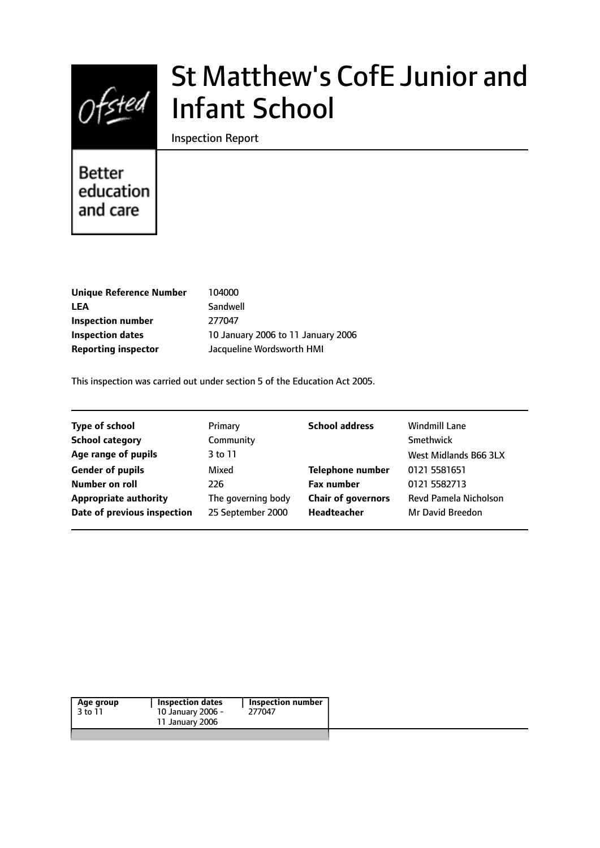

# St Matthew's CofE Junior and Infant School

Inspection Report

**Better** education and care

| Unique Reference Number    | 104000                             |
|----------------------------|------------------------------------|
| <b>LEA</b>                 | Sandwell                           |
| Inspection number          | 277047                             |
| <b>Inspection dates</b>    | 10 January 2006 to 11 January 2006 |
| <b>Reporting inspector</b> | Jacqueline Wordsworth HMI          |

This inspection was carried out under section 5 of the Education Act 2005.

| <b>Type of school</b>        | Primary            | <b>School address</b>     | <b>Windmill Lane</b>  |
|------------------------------|--------------------|---------------------------|-----------------------|
| <b>School category</b>       | Community          |                           | Smethwick             |
| Age range of pupils          | 3 to 11            |                           | West Midlands B66 3LX |
| <b>Gender of pupils</b>      | Mixed              | <b>Telephone number</b>   | 0121 5581651          |
| Number on roll               | 226                | <b>Fax number</b>         | 0121 5582713          |
| <b>Appropriate authority</b> | The governing body | <b>Chair of governors</b> | Revd Pamela Nicholson |
| Date of previous inspection  | 25 September 2000  | Headteacher               | Mr David Breedon      |
|                              |                    |                           |                       |

| Age group | Inspection dates  | Inspection number |
|-----------|-------------------|-------------------|
| 3 to 11   | 10 January 2006 - | 277047            |
|           | 11 January 2006   |                   |
|           |                   |                   |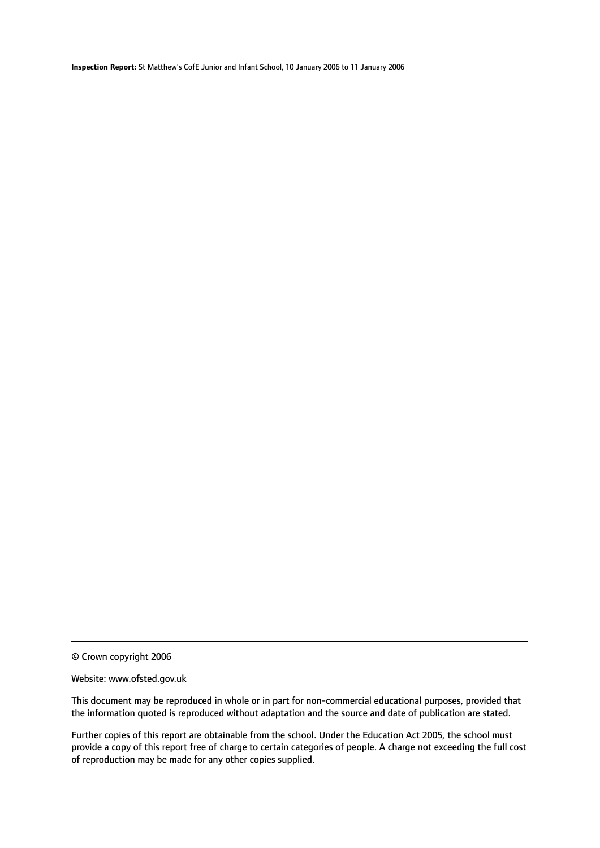© Crown copyright 2006

#### Website: www.ofsted.gov.uk

This document may be reproduced in whole or in part for non-commercial educational purposes, provided that the information quoted is reproduced without adaptation and the source and date of publication are stated.

Further copies of this report are obtainable from the school. Under the Education Act 2005, the school must provide a copy of this report free of charge to certain categories of people. A charge not exceeding the full cost of reproduction may be made for any other copies supplied.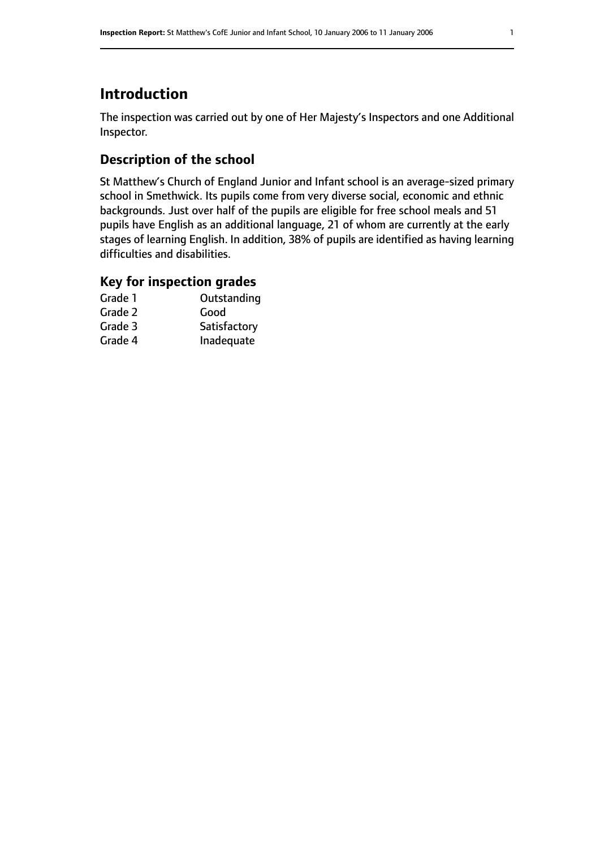# **Introduction**

The inspection was carried out by one of Her Majesty's Inspectors and one Additional Inspector.

# **Description of the school**

St Matthew's Church of England Junior and Infant school is an average-sized primary school in Smethwick. Its pupils come from very diverse social, economic and ethnic backgrounds. Just over half of the pupils are eligible for free school meals and 51 pupils have English as an additional language, 21 of whom are currently at the early stages of learning English. In addition, 38% of pupils are identified as having learning difficulties and disabilities.

# **Key for inspection grades**

| Grade 1 | Outstanding  |
|---------|--------------|
| Grade 2 | Good         |
| Grade 3 | Satisfactory |
| Grade 4 | Inadequate   |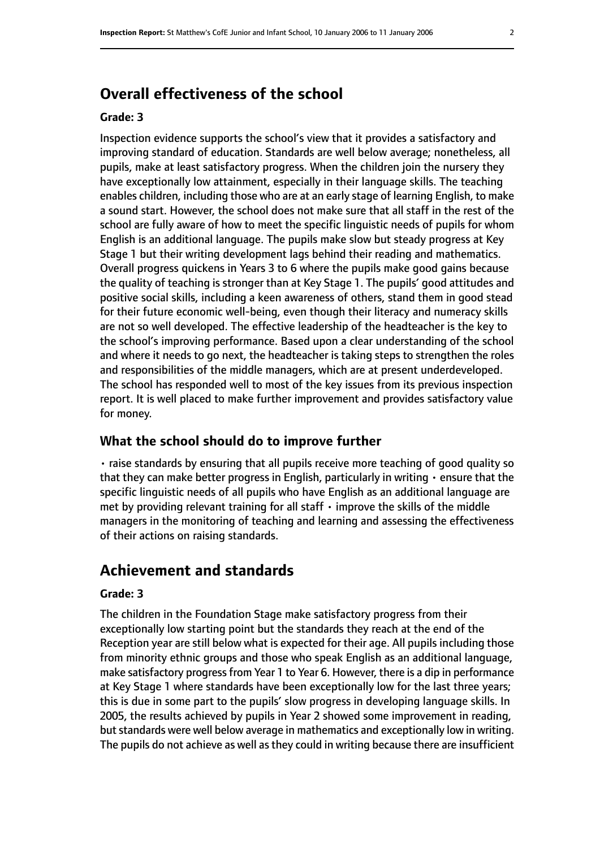# **Overall effectiveness of the school**

#### **Grade: 3**

Inspection evidence supports the school's view that it provides a satisfactory and improving standard of education. Standards are well below average; nonetheless, all pupils, make at least satisfactory progress. When the children join the nursery they have exceptionally low attainment, especially in their language skills. The teaching enables children, including those who are at an early stage of learning English, to make a sound start. However, the school does not make sure that all staff in the rest of the school are fully aware of how to meet the specific linguistic needs of pupils for whom English is an additional language. The pupils make slow but steady progress at Key Stage 1 but their writing development lags behind their reading and mathematics. Overall progress quickens in Years 3 to 6 where the pupils make good gains because the quality of teaching is stronger than at Key Stage 1. The pupils' good attitudes and positive social skills, including a keen awareness of others, stand them in good stead for their future economic well-being, even though their literacy and numeracy skills are not so well developed. The effective leadership of the headteacher is the key to the school's improving performance. Based upon a clear understanding of the school and where it needs to go next, the headteacher is taking steps to strengthen the roles and responsibilities of the middle managers, which are at present underdeveloped. The school has responded well to most of the key issues from its previous inspection report. It is well placed to make further improvement and provides satisfactory value for money.

#### **What the school should do to improve further**

• raise standards by ensuring that all pupils receive more teaching of good quality so that they can make better progress in English, particularly in writing • ensure that the specific linguistic needs of all pupils who have English as an additional language are met by providing relevant training for all staff  $\cdot$  improve the skills of the middle managers in the monitoring of teaching and learning and assessing the effectiveness of their actions on raising standards.

# **Achievement and standards**

#### **Grade: 3**

The children in the Foundation Stage make satisfactory progress from their exceptionally low starting point but the standards they reach at the end of the Reception year are still below what is expected for their age. All pupils including those from minority ethnic groups and those who speak English as an additional language, make satisfactory progress from Year 1 to Year 6. However, there is a dip in performance at Key Stage 1 where standards have been exceptionally low for the last three years; this is due in some part to the pupils' slow progress in developing language skills. In 2005, the results achieved by pupils in Year 2 showed some improvement in reading, but standards were well below average in mathematics and exceptionally low in writing. The pupils do not achieve as well as they could in writing because there are insufficient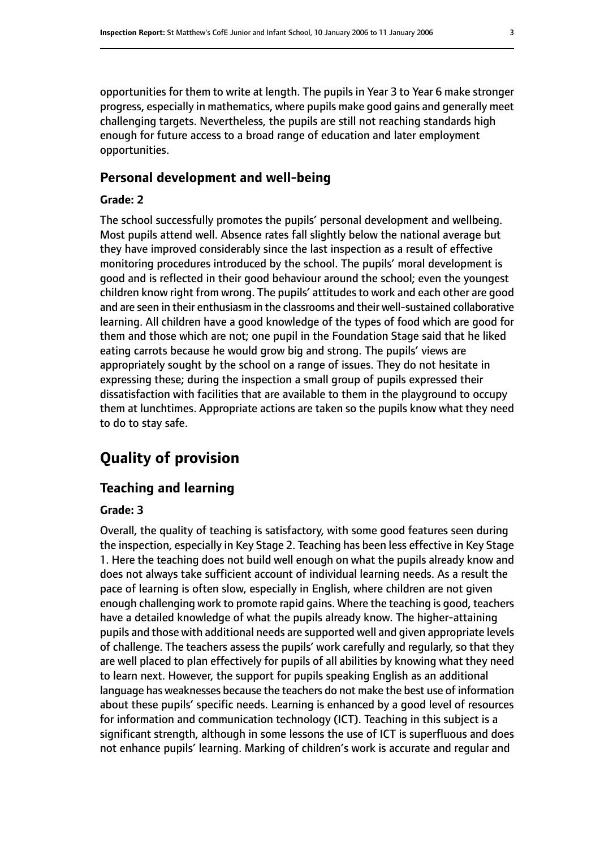opportunities for them to write at length. The pupils in Year 3 to Year 6 make stronger progress, especially in mathematics, where pupils make good gains and generally meet challenging targets. Nevertheless, the pupils are still not reaching standards high enough for future access to a broad range of education and later employment opportunities.

# **Personal development and well-being**

#### **Grade: 2**

The school successfully promotes the pupils' personal development and wellbeing. Most pupils attend well. Absence rates fall slightly below the national average but they have improved considerably since the last inspection as a result of effective monitoring procedures introduced by the school. The pupils' moral development is good and is reflected in their good behaviour around the school; even the youngest children know right from wrong. The pupils' attitudes to work and each other are good and are seen in their enthusiasm in the classrooms and their well-sustained collaborative learning. All children have a good knowledge of the types of food which are good for them and those which are not; one pupil in the Foundation Stage said that he liked eating carrots because he would grow big and strong. The pupils' views are appropriately sought by the school on a range of issues. They do not hesitate in expressing these; during the inspection a small group of pupils expressed their dissatisfaction with facilities that are available to them in the playground to occupy them at lunchtimes. Appropriate actions are taken so the pupils know what they need to do to stay safe.

# **Quality of provision**

## **Teaching and learning**

#### **Grade: 3**

Overall, the quality of teaching is satisfactory, with some good features seen during the inspection, especially in Key Stage 2. Teaching has been less effective in Key Stage 1. Here the teaching does not build well enough on what the pupils already know and does not always take sufficient account of individual learning needs. As a result the pace of learning is often slow, especially in English, where children are not given enough challenging work to promote rapid gains. Where the teaching is good, teachers have a detailed knowledge of what the pupils already know. The higher-attaining pupils and those with additional needs are supported well and given appropriate levels of challenge. The teachers assess the pupils' work carefully and regularly, so that they are well placed to plan effectively for pupils of all abilities by knowing what they need to learn next. However, the support for pupils speaking English as an additional language has weaknesses because the teachers do not make the best use of information about these pupils' specific needs. Learning is enhanced by a good level of resources for information and communication technology (ICT). Teaching in this subject is a significant strength, although in some lessons the use of ICT is superfluous and does not enhance pupils' learning. Marking of children's work is accurate and regular and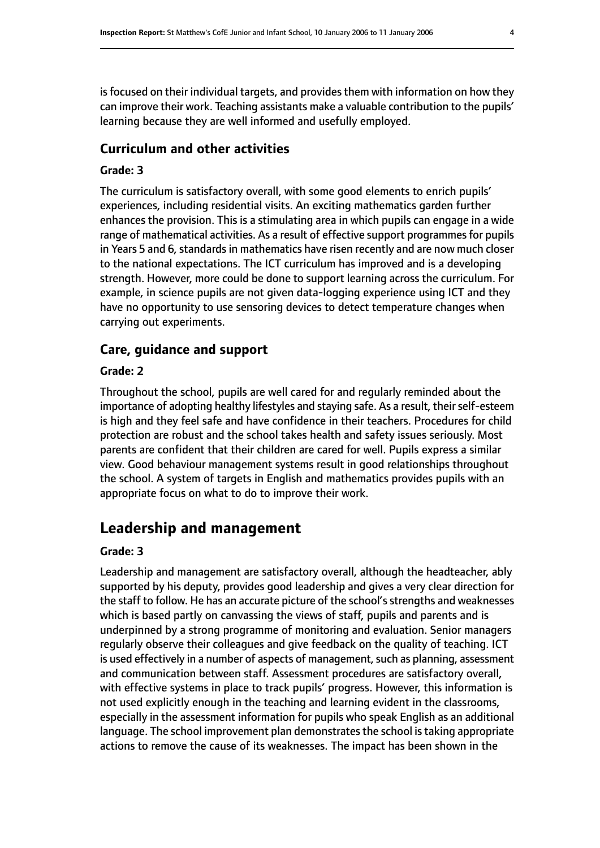is focused on their individual targets, and provides them with information on how they can improve their work. Teaching assistants make a valuable contribution to the pupils' learning because they are well informed and usefully employed.

# **Curriculum and other activities**

# **Grade: 3**

The curriculum is satisfactory overall, with some good elements to enrich pupils' experiences, including residential visits. An exciting mathematics garden further enhances the provision. This is a stimulating area in which pupils can engage in a wide range of mathematical activities. As a result of effective support programmes for pupils in Years 5 and 6, standards in mathematics have risen recently and are now much closer to the national expectations. The ICT curriculum has improved and is a developing strength. However, more could be done to support learning across the curriculum. For example, in science pupils are not given data-logging experience using ICT and they have no opportunity to use sensoring devices to detect temperature changes when carrying out experiments.

# **Care, guidance and support**

## **Grade: 2**

Throughout the school, pupils are well cared for and regularly reminded about the importance of adopting healthy lifestyles and staying safe. As a result, their self-esteem is high and they feel safe and have confidence in their teachers. Procedures for child protection are robust and the school takes health and safety issues seriously. Most parents are confident that their children are cared for well. Pupils express a similar view. Good behaviour management systems result in good relationships throughout the school. A system of targets in English and mathematics provides pupils with an appropriate focus on what to do to improve their work.

# **Leadership and management**

# **Grade: 3**

Leadership and management are satisfactory overall, although the headteacher, ably supported by his deputy, provides good leadership and gives a very clear direction for the staff to follow. He has an accurate picture of the school's strengths and weaknesses which is based partly on canvassing the views of staff, pupils and parents and is underpinned by a strong programme of monitoring and evaluation. Senior managers regularly observe their colleagues and give feedback on the quality of teaching. ICT is used effectively in a number of aspects of management, such as planning, assessment and communication between staff. Assessment procedures are satisfactory overall, with effective systems in place to track pupils' progress. However, this information is not used explicitly enough in the teaching and learning evident in the classrooms, especially in the assessment information for pupils who speak English as an additional language. The school improvement plan demonstrates the school is taking appropriate actions to remove the cause of its weaknesses. The impact has been shown in the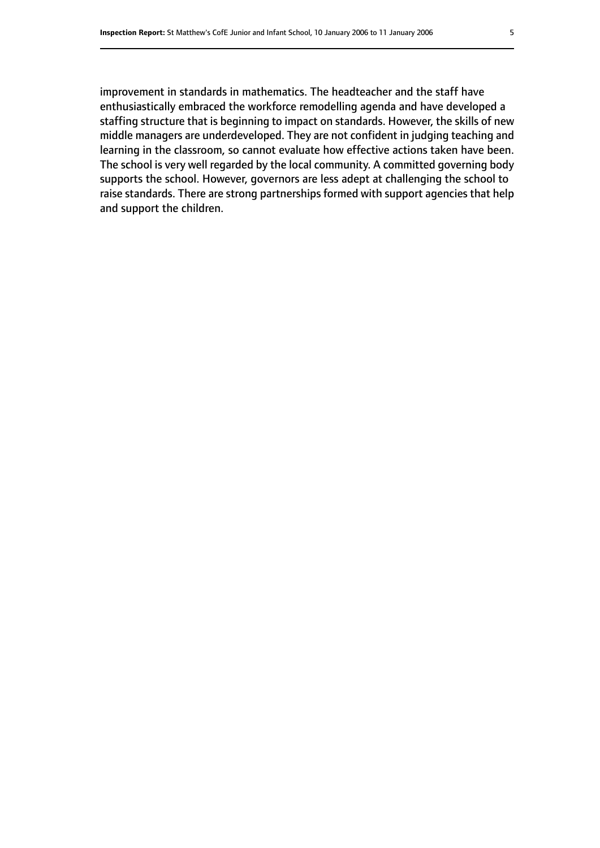improvement in standards in mathematics. The headteacher and the staff have enthusiastically embraced the workforce remodelling agenda and have developed a staffing structure that is beginning to impact on standards. However, the skills of new middle managers are underdeveloped. They are not confident in judging teaching and learning in the classroom, so cannot evaluate how effective actions taken have been. The school is very well regarded by the local community. A committed governing body supports the school. However, governors are less adept at challenging the school to raise standards. There are strong partnerships formed with support agencies that help and support the children.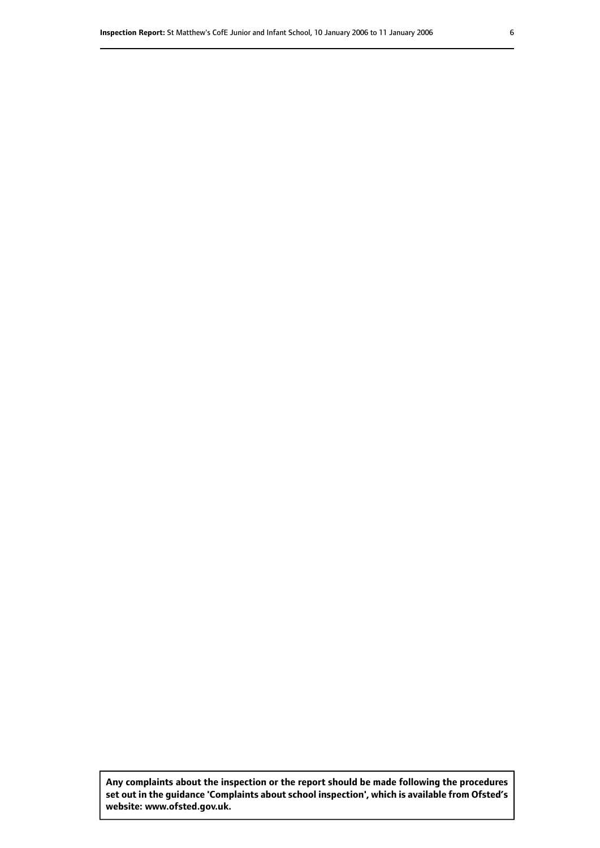**Any complaints about the inspection or the report should be made following the procedures set out inthe guidance 'Complaints about school inspection', whichis available from Ofsted's website: www.ofsted.gov.uk.**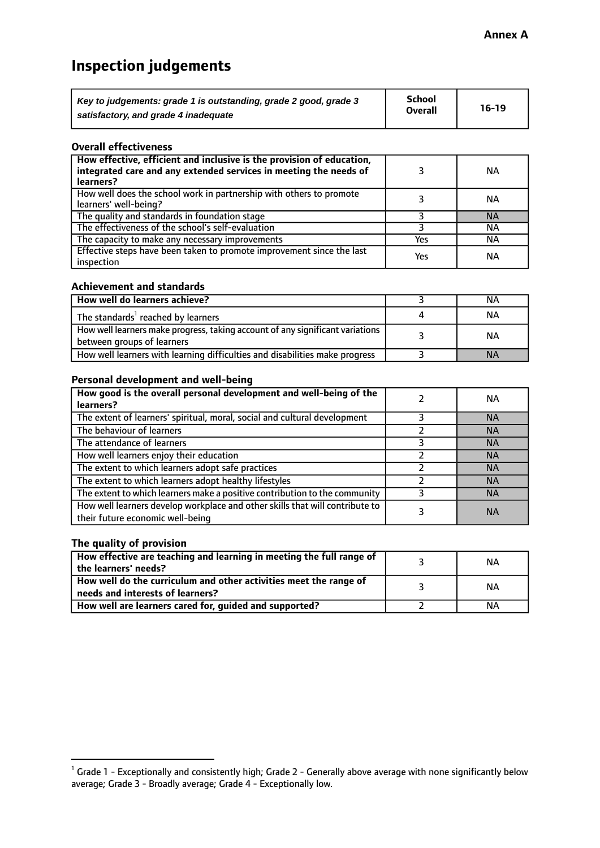# **Inspection judgements**

| Key to judgements: grade 1 is outstanding, grade 2 good, grade 3 | School         | $16-19$ |
|------------------------------------------------------------------|----------------|---------|
| satisfactory, and grade 4 inadequate                             | <b>Overall</b> |         |

#### **Overall effectiveness**

| How effective, efficient and inclusive is the provision of education,<br>integrated care and any extended services in meeting the needs of<br>learners? |     | ΝA        |
|---------------------------------------------------------------------------------------------------------------------------------------------------------|-----|-----------|
| How well does the school work in partnership with others to promote<br>learners' well-being?                                                            |     | ΝA        |
| The quality and standards in foundation stage                                                                                                           |     | <b>NA</b> |
| The effectiveness of the school's self-evaluation                                                                                                       |     | ΝA        |
| The capacity to make any necessary improvements                                                                                                         | Yes | ΝA        |
| Effective steps have been taken to promote improvement since the last<br>inspection                                                                     | Yes | ΝA        |

#### **Achievement and standards**

| How well do learners achieve?                                                                               | ΝA        |
|-------------------------------------------------------------------------------------------------------------|-----------|
| The standards <sup>1</sup> reached by learners                                                              | NА        |
| How well learners make progress, taking account of any significant variations<br>between groups of learners | <b>NA</b> |
| How well learners with learning difficulties and disabilities make progress                                 | <b>NA</b> |

# **Personal development and well-being**

| How good is the overall personal development and well-being of the<br>learners?                                  | ΝA        |
|------------------------------------------------------------------------------------------------------------------|-----------|
| The extent of learners' spiritual, moral, social and cultural development                                        | <b>NA</b> |
| The behaviour of learners                                                                                        | <b>NA</b> |
| The attendance of learners                                                                                       | <b>NA</b> |
| How well learners enjoy their education                                                                          | <b>NA</b> |
| The extent to which learners adopt safe practices                                                                | <b>NA</b> |
| The extent to which learners adopt healthy lifestyles                                                            | <b>NA</b> |
| The extent to which learners make a positive contribution to the community                                       | <b>NA</b> |
| How well learners develop workplace and other skills that will contribute to<br>their future economic well-being | <b>NA</b> |

# **The quality of provision**

| How effective are teaching and learning in meeting the full range of<br>the learners' needs?          | ΝA |
|-------------------------------------------------------------------------------------------------------|----|
| How well do the curriculum and other activities meet the range of<br>needs and interests of learners? | ΝA |
| How well are learners cared for, guided and supported?                                                | NА |

 $^1$  Grade 1 - Exceptionally and consistently high; Grade 2 - Generally above average with none significantly below average; Grade 3 - Broadly average; Grade 4 - Exceptionally low.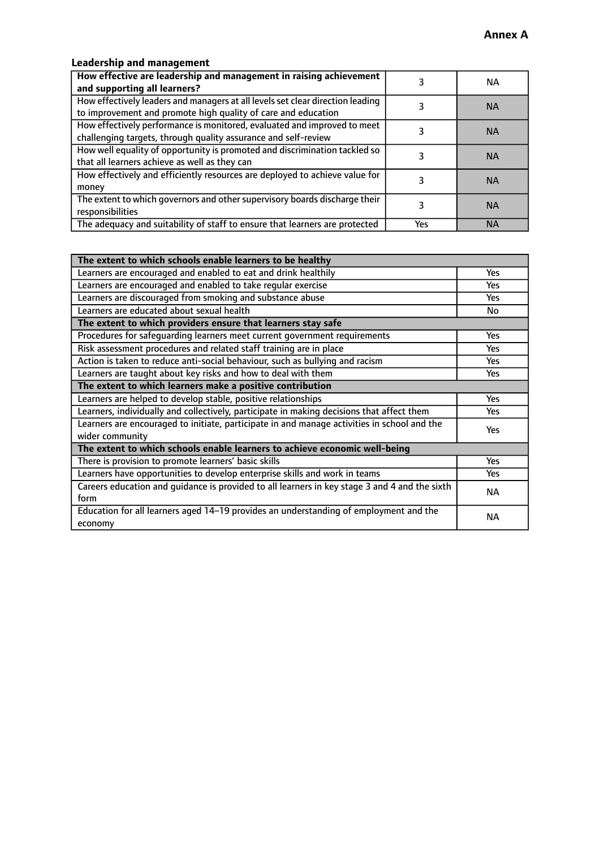# **Leadership and management**

| How effective are leadership and management in raising achievement<br>and supporting all learners?                                              |     | NA.       |
|-------------------------------------------------------------------------------------------------------------------------------------------------|-----|-----------|
| How effectively leaders and managers at all levels set clear direction leading<br>to improvement and promote high quality of care and education |     | <b>NA</b> |
| How effectively performance is monitored, evaluated and improved to meet<br>challenging targets, through quality assurance and self-review      |     | <b>NA</b> |
| How well equality of opportunity is promoted and discrimination tackled so<br>that all learners achieve as well as they can                     |     | <b>NA</b> |
| How effectively and efficiently resources are deployed to achieve value for<br>money                                                            |     | <b>NA</b> |
| The extent to which governors and other supervisory boards discharge their<br>responsibilities                                                  |     | <b>NA</b> |
| The adequacy and suitability of staff to ensure that learners are protected                                                                     | Yes | <b>NA</b> |

| The extent to which schools enable learners to be healthy                                                      |            |  |
|----------------------------------------------------------------------------------------------------------------|------------|--|
| Learners are encouraged and enabled to eat and drink healthily                                                 | Yes        |  |
| Learners are encouraged and enabled to take regular exercise                                                   | Yes        |  |
| Learners are discouraged from smoking and substance abuse                                                      | <b>Yes</b> |  |
| Learners are educated about sexual health                                                                      | No         |  |
| The extent to which providers ensure that learners stay safe                                                   |            |  |
| Procedures for safequarding learners meet current government requirements                                      | Yes        |  |
| Risk assessment procedures and related staff training are in place                                             | Yes        |  |
| Action is taken to reduce anti-social behaviour, such as bullying and racism                                   | <b>Yes</b> |  |
| Learners are taught about key risks and how to deal with them                                                  |            |  |
| The extent to which learners make a positive contribution                                                      |            |  |
| Learners are helped to develop stable, positive relationships                                                  | Yes        |  |
| Learners, individually and collectively, participate in making decisions that affect them                      |            |  |
| Learners are encouraged to initiate, participate in and manage activities in school and the<br>wider community |            |  |
| The extent to which schools enable learners to achieve economic well-being                                     |            |  |
| There is provision to promote learners' basic skills                                                           | Yes        |  |
| Learners have opportunities to develop enterprise skills and work in teams                                     | Yes        |  |
| Careers education and quidance is provided to all learners in key stage 3 and 4 and the sixth<br>form          | <b>NA</b>  |  |
| Education for all learners aged 14-19 provides an understanding of employment and the<br>economy               | <b>NA</b>  |  |